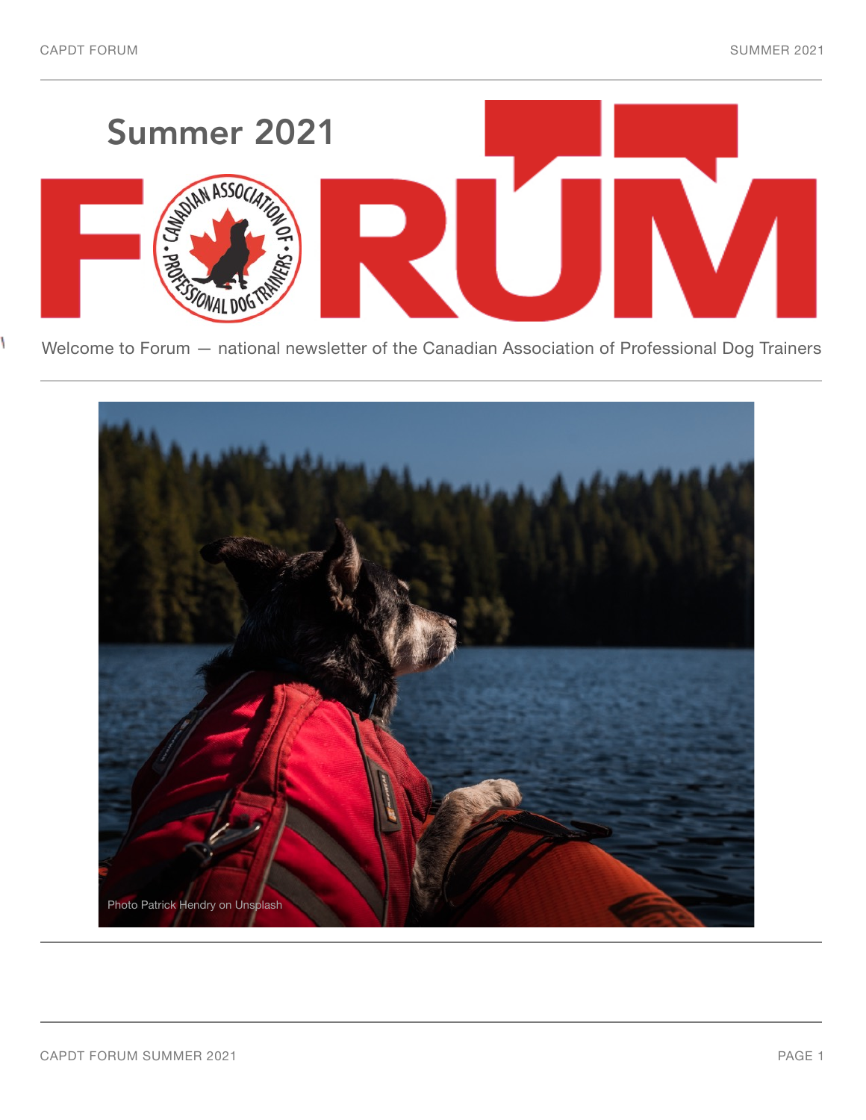١



Welcome to Forum — national newsletter of the Canadian Association of Professional Dog Trainers

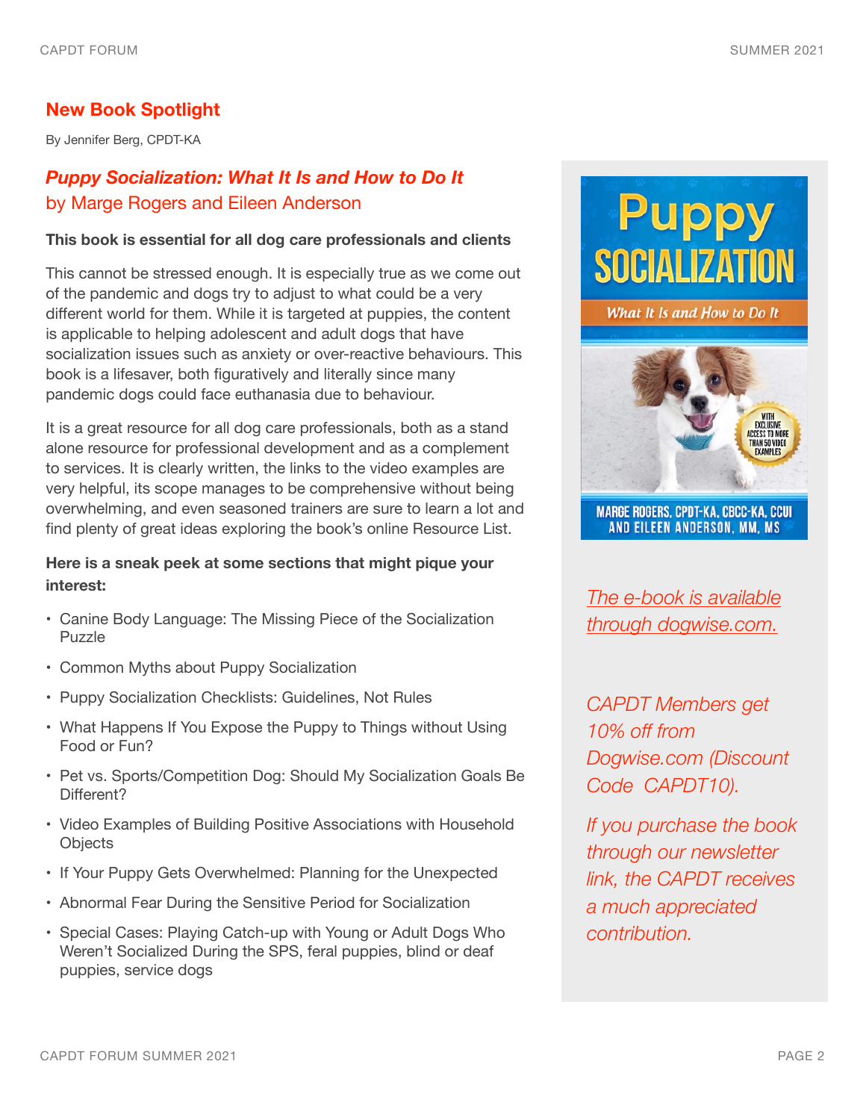## **New Book Spotlight**

By Jennifer Berg, CPDT-KA

# *Puppy Socialization: What It Is and How to Do It*  by Marge Rogers and Eileen Anderson

#### **This book is essential for all dog care professionals and clients**

This cannot be stressed enough. It is especially true as we come out of the pandemic and dogs try to adjust to what could be a very different world for them. While it is targeted at puppies, the content is applicable to helping adolescent and adult dogs that have socialization issues such as anxiety or over-reactive behaviours. This book is a lifesaver, both figuratively and literally since many pandemic dogs could face euthanasia due to behaviour.

It is a great resource for all dog care professionals, both as a stand alone resource for professional development and as a complement to services. It is clearly written, the links to the video examples are very helpful, its scope manages to be comprehensive without being overwhelming, and even seasoned trainers are sure to learn a lot and find plenty of great ideas exploring the book's online Resource List.

## **Here is a sneak peek at some sections that might pique your interest:**

- Canine Body Language: The Missing Piece of the Socialization Puzzle
- Common Myths about Puppy Socialization
- Puppy Socialization Checklists: Guidelines, Not Rules
- What Happens If You Expose the Puppy to Things without Using Food or Fun?
- Pet vs. Sports/Competition Dog: Should My Socialization Goals Be Different?
- Video Examples of Building Positive Associations with Household **Objects**
- If Your Puppy Gets Overwhelmed: Planning for the Unexpected
- Abnormal Fear During the Sensitive Period for Socialization
- Special Cases: Playing Catch-up with Young or Adult Dogs Who Weren't Socialized During the SPS, feral puppies, blind or deaf puppies, service dogs



What It Is and How to Do It



**MARGE ROGERS, CPDT-KA, CBCC-KA, CCUI** AND EILEEN ANDERSON, MM, MS

*[The e-book is available](https://www.dogwise.com/ebook-puppy-socialization-what-it-is-and-how-to-do-it/?aff=32)  [through dogwise.com.](https://www.dogwise.com/ebook-puppy-socialization-what-it-is-and-how-to-do-it/?aff=32)*

*CAPDT Members get 10% off from Dogwise.com (Discount Code CAPDT10).*

*If you purchase the book through our newsletter link, the CAPDT receives a much appreciated contribution.*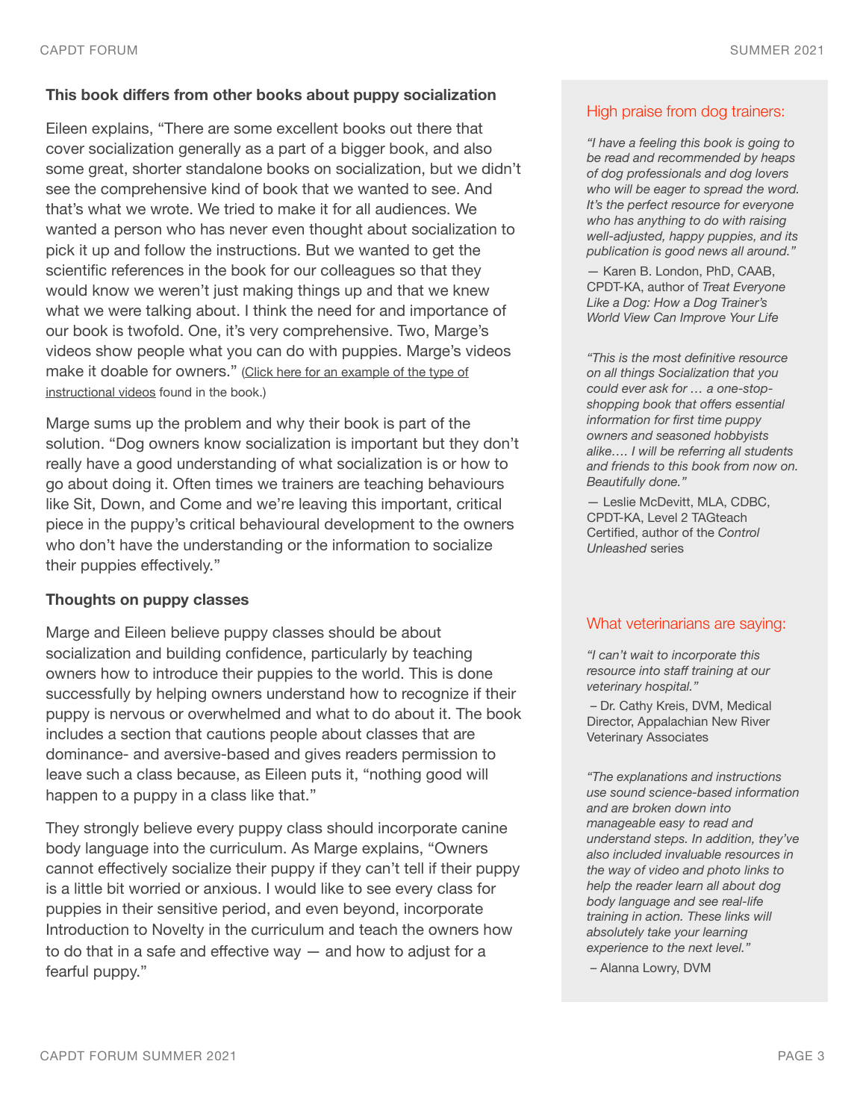#### **This book differs from other books about puppy socialization**

Eileen explains, "There are some excellent books out there that cover socialization generally as a part of a bigger book, and also some great, shorter standalone books on socialization, but we didn't see the comprehensive kind of book that we wanted to see. And that's what we wrote. We tried to make it for all audiences. We wanted a person who has never even thought about socialization to pick it up and follow the instructions. But we wanted to get the scientific references in the book for our colleagues so that they would know we weren't just making things up and that we knew what we were talking about. I think the need for and importance of our book is twofold. One, it's very comprehensive. Two, Marge's videos show people what you can do with puppies. Marge's videos make it doable for owners." (Click here for an example of the type of [instructional videos](https://www.youtube.com/watch?v=KXB3R713EDA) found in the book.)

Marge sums up the problem and why their book is part of the solution. "Dog owners know socialization is important but they don't really have a good understanding of what socialization is or how to go about doing it. Often times we trainers are teaching behaviours like Sit, Down, and Come and we're leaving this important, critical piece in the puppy's critical behavioural development to the owners who don't have the understanding or the information to socialize their puppies effectively."

#### **Thoughts on puppy classes**

Marge and Eileen believe puppy classes should be about socialization and building confidence, particularly by teaching owners how to introduce their puppies to the world. This is done successfully by helping owners understand how to recognize if their puppy is nervous or overwhelmed and what to do about it. The book includes a section that cautions people about classes that are dominance- and aversive-based and gives readers permission to leave such a class because, as Eileen puts it, "nothing good will happen to a puppy in a class like that."

They strongly believe every puppy class should incorporate canine body language into the curriculum. As Marge explains, "Owners cannot effectively socialize their puppy if they can't tell if their puppy is a little bit worried or anxious. I would like to see every class for puppies in their sensitive period, and even beyond, incorporate Introduction to Novelty in the curriculum and teach the owners how to do that in a safe and effective way — and how to adjust for a fearful puppy."

#### High praise from dog trainers:

*"I have a feeling this book is going to be read and recommended by heaps of dog professionals and dog lovers who will be eager to spread the word. It's the perfect resource for everyone who has anything to do with raising well-adjusted, happy puppies, and its publication is good news all around."* 

— Karen B. London, PhD, CAAB, CPDT-KA, author of *Treat Everyone Like a Dog: How a Dog Trainer's World View Can Improve Your Life* 

*"This is the most definitive resource on all things Socialization that you could ever ask for … a one-stopshopping book that offers essential information for first time puppy owners and seasoned hobbyists alike…. I will be referring all students and friends to this book from now on. Beautifully done."*

— Leslie McDevitt, MLA, CDBC, CPDT-KA, Level 2 TAGteach Certified, author of the *Control Unleashed* series

### What veterinarians are saying:

*"I can't wait to incorporate this resource into staff training at our veterinary hospital."* 

 – Dr. Cathy Kreis, DVM, Medical Director, Appalachian New River Veterinary Associates

*"The explanations and instructions use sound science-based information and are broken down into manageable easy to read and understand steps. In addition, they've also included invaluable resources in the way of video and photo links to help the reader learn all about dog body language and see real-life training in action. These links will absolutely take your learning experience to the next level."* 

– Alanna Lowry, DVM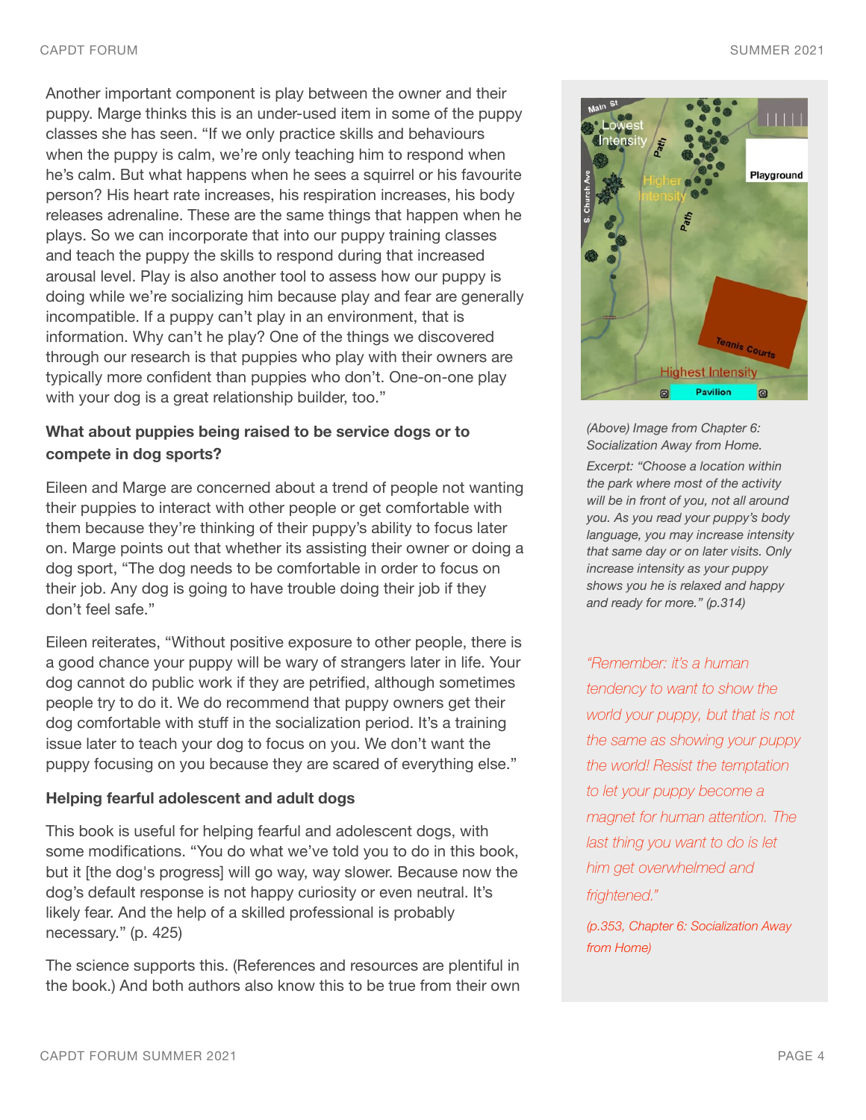Another important component is play between the owner and their puppy. Marge thinks this is an under-used item in some of the puppy classes she has seen. "If we only practice skills and behaviours when the puppy is calm, we're only teaching him to respond when he's calm. But what happens when he sees a squirrel or his favourite person? His heart rate increases, his respiration increases, his body releases adrenaline. These are the same things that happen when he plays. So we can incorporate that into our puppy training classes and teach the puppy the skills to respond during that increased arousal level. Play is also another tool to assess how our puppy is doing while we're socializing him because play and fear are generally incompatible. If a puppy can't play in an environment, that is information. Why can't he play? One of the things we discovered through our research is that puppies who play with their owners are typically more confident than puppies who don't. One-on-one play with your dog is a great relationship builder, too."

## **What about puppies being raised to be service dogs or to compete in dog sports?**

Eileen and Marge are concerned about a trend of people not wanting their puppies to interact with other people or get comfortable with them because they're thinking of their puppy's ability to focus later on. Marge points out that whether its assisting their owner or doing a dog sport, "The dog needs to be comfortable in order to focus on their job. Any dog is going to have trouble doing their job if they don't feel safe."

Eileen reiterates, "Without positive exposure to other people, there is a good chance your puppy will be wary of strangers later in life. Your dog cannot do public work if they are petrified, although sometimes people try to do it. We do recommend that puppy owners get their dog comfortable with stuff in the socialization period. It's a training issue later to teach your dog to focus on you. We don't want the puppy focusing on you because they are scared of everything else."

#### **Helping fearful adolescent and adult dogs**

This book is useful for helping fearful and adolescent dogs, with some modifications. "You do what we've told you to do in this book, but it [the dog's progress] will go way, way slower. Because now the dog's default response is not happy curiosity or even neutral. It's likely fear. And the help of a skilled professional is probably necessary." (p. 425)

The science supports this. (References and resources are plentiful in the book.) And both authors also know this to be true from their own



*(Above) Image from Chapter 6: Socialization Away from Home.* 

*Excerpt: "Choose a location within the park where most of the activity will be in front of you, not all around you. As you read your puppy's body language, you may increase intensity that same day or on later visits. Only increase intensity as your puppy shows you he is relaxed and happy and ready for more." (p.314)*

*"Remember: it's a human tendency to want to show the world your puppy, but that is not the same as showing your puppy the world! Resist the temptation to let your puppy become a magnet for human attention. The last thing you want to do is let him get overwhelmed and frightened."* 

*(p.353, Chapter 6: Socialization Away from Home)*